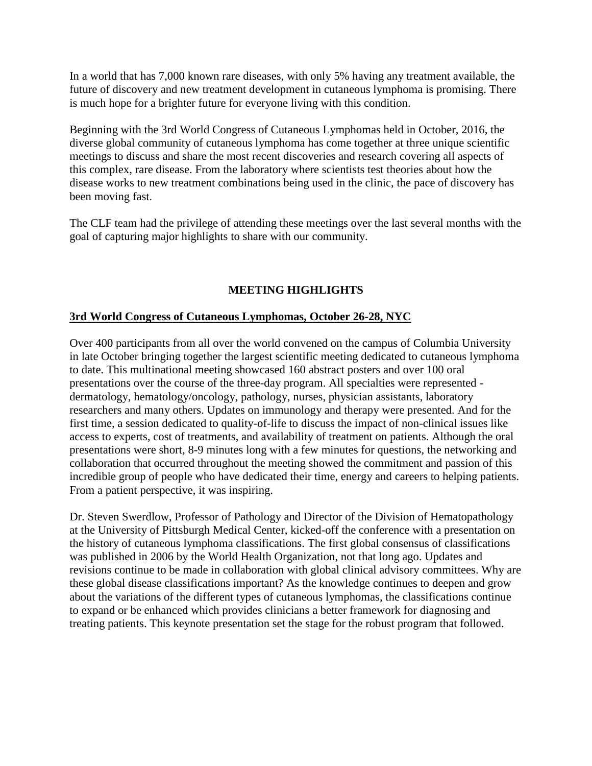In a world that has 7,000 known rare diseases, with only 5% having any treatment available, the future of discovery and new treatment development in cutaneous lymphoma is promising. There is much hope for a brighter future for everyone living with this condition.

Beginning with the 3rd World Congress of Cutaneous Lymphomas held in October, 2016, the diverse global community of cutaneous lymphoma has come together at three unique scientific meetings to discuss and share the most recent discoveries and research covering all aspects of this complex, rare disease. From the laboratory where scientists test theories about how the disease works to new treatment combinations being used in the clinic, the pace of discovery has been moving fast.

The CLF team had the privilege of attending these meetings over the last several months with the goal of capturing major highlights to share with our community.

# **MEETING HIGHLIGHTS**

### **3rd World Congress of Cutaneous Lymphomas, October 26-28, NYC**

Over 400 participants from all over the world convened on the campus of Columbia University in late October bringing together the largest scientific meeting dedicated to cutaneous lymphoma to date. This multinational meeting showcased 160 abstract posters and over 100 oral presentations over the course of the three-day program. All specialties were represented dermatology, hematology/oncology, pathology, nurses, physician assistants, laboratory researchers and many others. Updates on immunology and therapy were presented. And for the first time, a session dedicated to quality-of-life to discuss the impact of non-clinical issues like access to experts, cost of treatments, and availability of treatment on patients. Although the oral presentations were short, 8-9 minutes long with a few minutes for questions, the networking and collaboration that occurred throughout the meeting showed the commitment and passion of this incredible group of people who have dedicated their time, energy and careers to helping patients. From a patient perspective, it was inspiring.

Dr. Steven Swerdlow, Professor of Pathology and Director of the Division of Hematopathology at the University of Pittsburgh Medical Center, kicked-off the conference with a presentation on the history of cutaneous lymphoma classifications. The first global consensus of classifications was published in 2006 by the World Health Organization, not that long ago. Updates and revisions continue to be made in collaboration with global clinical advisory committees. Why are these global disease classifications important? As the knowledge continues to deepen and grow about the variations of the different types of cutaneous lymphomas, the classifications continue to expand or be enhanced which provides clinicians a better framework for diagnosing and treating patients. This keynote presentation set the stage for the robust program that followed.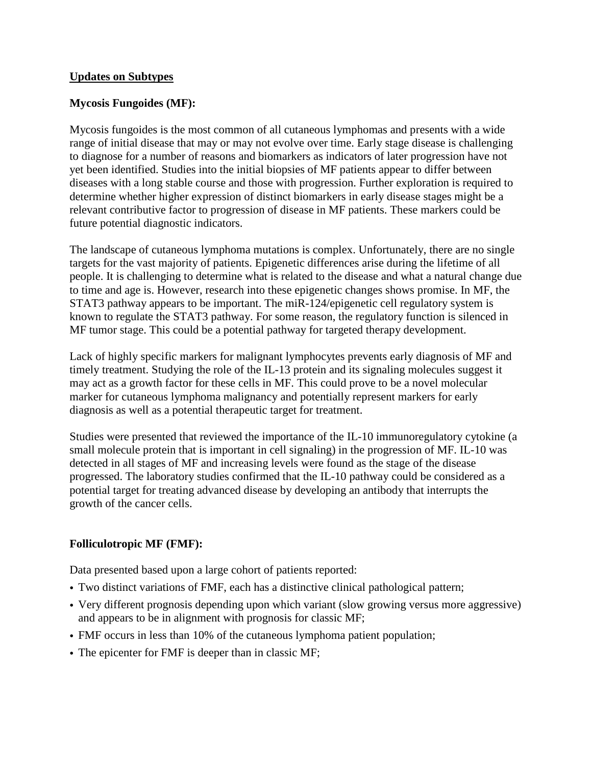#### **Updates on Subtypes**

### **Mycosis Fungoides (MF):**

Mycosis fungoides is the most common of all cutaneous lymphomas and presents with a wide range of initial disease that may or may not evolve over time. Early stage disease is challenging to diagnose for a number of reasons and biomarkers as indicators of later progression have not yet been identified. Studies into the initial biopsies of MF patients appear to differ between diseases with a long stable course and those with progression. Further exploration is required to determine whether higher expression of distinct biomarkers in early disease stages might be a relevant contributive factor to progression of disease in MF patients. These markers could be future potential diagnostic indicators.

The landscape of cutaneous lymphoma mutations is complex. Unfortunately, there are no single targets for the vast majority of patients. Epigenetic differences arise during the lifetime of all people. It is challenging to determine what is related to the disease and what a natural change due to time and age is. However, research into these epigenetic changes shows promise. In MF, the STAT3 pathway appears to be important. The miR-124/epigenetic cell regulatory system is known to regulate the STAT3 pathway. For some reason, the regulatory function is silenced in MF tumor stage. This could be a potential pathway for targeted therapy development.

Lack of highly specific markers for malignant lymphocytes prevents early diagnosis of MF and timely treatment. Studying the role of the IL-13 protein and its signaling molecules suggest it may act as a growth factor for these cells in MF. This could prove to be a novel molecular marker for cutaneous lymphoma malignancy and potentially represent markers for early diagnosis as well as a potential therapeutic target for treatment.

Studies were presented that reviewed the importance of the IL-10 immunoregulatory cytokine (a small molecule protein that is important in cell signaling) in the progression of MF. IL-10 was detected in all stages of MF and increasing levels were found as the stage of the disease progressed. The laboratory studies confirmed that the IL-10 pathway could be considered as a potential target for treating advanced disease by developing an antibody that interrupts the growth of the cancer cells.

## **Folliculotropic MF (FMF):**

Data presented based upon a large cohort of patients reported:

- Two distinct variations of FMF, each has a distinctive clinical pathological pattern;
- Very different prognosis depending upon which variant (slow growing versus more aggressive) and appears to be in alignment with prognosis for classic MF;
- FMF occurs in less than 10% of the cutaneous lymphoma patient population;
- The epicenter for FMF is deeper than in classic MF;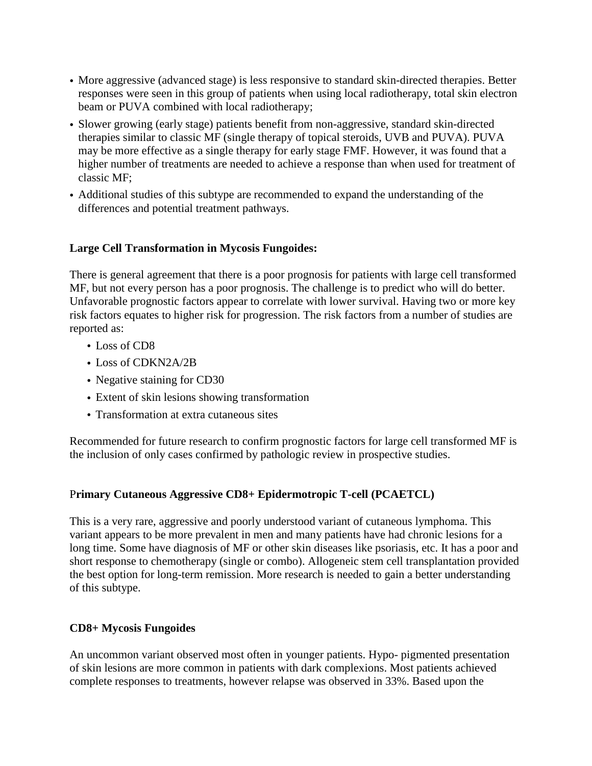- More aggressive (advanced stage) is less responsive to standard skin-directed therapies. Better responses were seen in this group of patients when using local radiotherapy, total skin electron beam or PUVA combined with local radiotherapy;
- Slower growing (early stage) patients benefit from non-aggressive, standard skin-directed therapies similar to classic MF (single therapy of topical steroids, UVB and PUVA). PUVA may be more effective as a single therapy for early stage FMF. However, it was found that a higher number of treatments are needed to achieve a response than when used for treatment of classic MF;
- Additional studies of this subtype are recommended to expand the understanding of the differences and potential treatment pathways.

### **Large Cell Transformation in Mycosis Fungoides:**

There is general agreement that there is a poor prognosis for patients with large cell transformed MF, but not every person has a poor prognosis. The challenge is to predict who will do better. Unfavorable prognostic factors appear to correlate with lower survival. Having two or more key risk factors equates to higher risk for progression. The risk factors from a number of studies are reported as:

- Loss of CD8
- Loss of CDKN2A/2B
- Negative staining for CD30
- Extent of skin lesions showing transformation
- Transformation at extra cutaneous sites

Recommended for future research to confirm prognostic factors for large cell transformed MF is the inclusion of only cases confirmed by pathologic review in prospective studies.

## P**rimary Cutaneous Aggressive CD8+ Epidermotropic T-cell (PCAETCL)**

This is a very rare, aggressive and poorly understood variant of cutaneous lymphoma. This variant appears to be more prevalent in men and many patients have had chronic lesions for a long time. Some have diagnosis of MF or other skin diseases like psoriasis, etc. It has a poor and short response to chemotherapy (single or combo). Allogeneic stem cell transplantation provided the best option for long-term remission. More research is needed to gain a better understanding of this subtype.

## **CD8+ Mycosis Fungoides**

An uncommon variant observed most often in younger patients. Hypo- pigmented presentation of skin lesions are more common in patients with dark complexions. Most patients achieved complete responses to treatments, however relapse was observed in 33%. Based upon the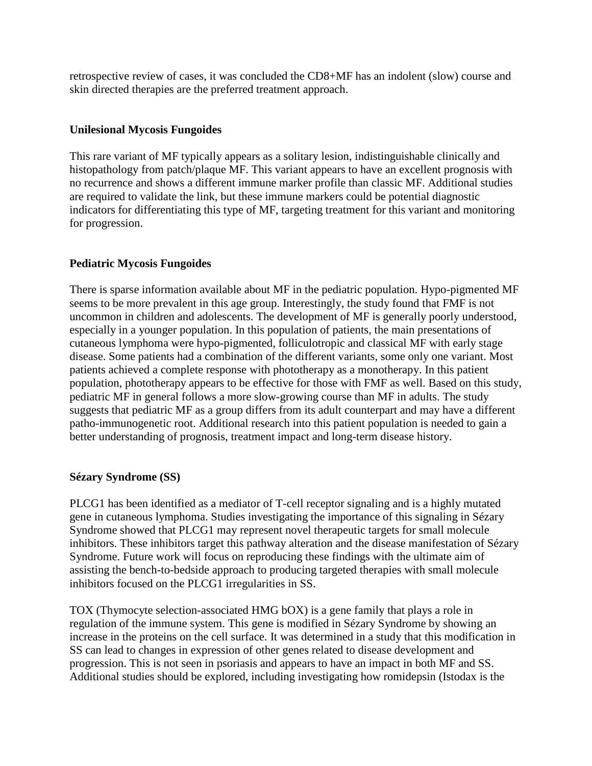retrospective review of cases, it was concluded the CD8+MF has an indolent (slow) course and skin directed therapies are the preferred treatment approach.

### **Unilesional Mycosis Fungoides**

This rare variant of MF typically appears as a solitary lesion, indistinguishable clinically and histopathology from patch/plaque MF. This variant appears to have an excellent prognosis with no recurrence and shows a different immune marker profile than classic MF. Additional studies are required to validate the link, but these immune markers could be potential diagnostic indicators for differentiating this type of MF, targeting treatment for this variant and monitoring for progression.

## **Pediatric Mycosis Fungoides**

There is sparse information available about MF in the pediatric population. Hypo-pigmented MF seems to be more prevalent in this age group. Interestingly, the study found that FMF is not uncommon in children and adolescents. The development of MF is generally poorly understood, especially in a younger population. In this population of patients, the main presentations of cutaneous lymphoma were hypo-pigmented, folliculotropic and classical MF with early stage disease. Some patients had a combination of the different variants, some only one variant. Most patients achieved a complete response with phototherapy as a monotherapy. In this patient population, phototherapy appears to be effective for those with FMF as well. Based on this study, pediatric MF in general follows a more slow-growing course than MF in adults. The study suggests that pediatric MF as a group differs from its adult counterpart and may have a different patho-immunogenetic root. Additional research into this patient population is needed to gain a better understanding of prognosis, treatment impact and long-term disease history.

## **Sézary Syndrome (SS)**

PLCG1 has been identified as a mediator of T-cell receptor signaling and is a highly mutated gene in cutaneous lymphoma. Studies investigating the importance of this signaling in Sézary Syndrome showed that PLCG1 may represent novel therapeutic targets for small molecule inhibitors. These inhibitors target this pathway alteration and the disease manifestation of Sézary Syndrome. Future work will focus on reproducing these findings with the ultimate aim of assisting the bench-to-bedside approach to producing targeted therapies with small molecule inhibitors focused on the PLCG1 irregularities in SS.

TOX (Thymocyte selection-associated HMG bOX) is a gene family that plays a role in regulation of the immune system. This gene is modified in Sézary Syndrome by showing an increase in the proteins on the cell surface. It was determined in a study that this modification in SS can lead to changes in expression of other genes related to disease development and progression. This is not seen in psoriasis and appears to have an impact in both MF and SS. Additional studies should be explored, including investigating how romidepsin (Istodax is the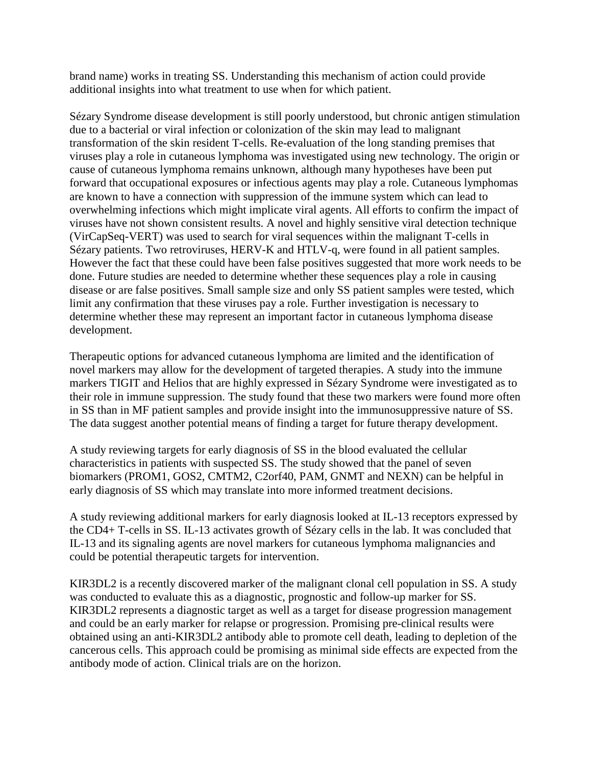brand name) works in treating SS. Understanding this mechanism of action could provide additional insights into what treatment to use when for which patient.

Sézary Syndrome disease development is still poorly understood, but chronic antigen stimulation due to a bacterial or viral infection or colonization of the skin may lead to malignant transformation of the skin resident T-cells. Re-evaluation of the long standing premises that viruses play a role in cutaneous lymphoma was investigated using new technology. The origin or cause of cutaneous lymphoma remains unknown, although many hypotheses have been put forward that occupational exposures or infectious agents may play a role. Cutaneous lymphomas are known to have a connection with suppression of the immune system which can lead to overwhelming infections which might implicate viral agents. All efforts to confirm the impact of viruses have not shown consistent results. A novel and highly sensitive viral detection technique (VirCapSeq-VERT) was used to search for viral sequences within the malignant T-cells in Sézary patients. Two retroviruses, HERV-K and HTLV-q, were found in all patient samples. However the fact that these could have been false positives suggested that more work needs to be done. Future studies are needed to determine whether these sequences play a role in causing disease or are false positives. Small sample size and only SS patient samples were tested, which limit any confirmation that these viruses pay a role. Further investigation is necessary to determine whether these may represent an important factor in cutaneous lymphoma disease development.

Therapeutic options for advanced cutaneous lymphoma are limited and the identification of novel markers may allow for the development of targeted therapies. A study into the immune markers TIGIT and Helios that are highly expressed in Sézary Syndrome were investigated as to their role in immune suppression. The study found that these two markers were found more often in SS than in MF patient samples and provide insight into the immunosuppressive nature of SS. The data suggest another potential means of finding a target for future therapy development.

A study reviewing targets for early diagnosis of SS in the blood evaluated the cellular characteristics in patients with suspected SS. The study showed that the panel of seven biomarkers (PROM1, GOS2, CMTM2, C2orf40, PAM, GNMT and NEXN) can be helpful in early diagnosis of SS which may translate into more informed treatment decisions.

A study reviewing additional markers for early diagnosis looked at IL-13 receptors expressed by the CD4+ T-cells in SS. IL-13 activates growth of Sézary cells in the lab. It was concluded that IL-13 and its signaling agents are novel markers for cutaneous lymphoma malignancies and could be potential therapeutic targets for intervention.

KIR3DL2 is a recently discovered marker of the malignant clonal cell population in SS. A study was conducted to evaluate this as a diagnostic, prognostic and follow-up marker for SS. KIR3DL2 represents a diagnostic target as well as a target for disease progression management and could be an early marker for relapse or progression. Promising pre-clinical results were obtained using an anti-KIR3DL2 antibody able to promote cell death, leading to depletion of the cancerous cells. This approach could be promising as minimal side effects are expected from the antibody mode of action. Clinical trials are on the horizon.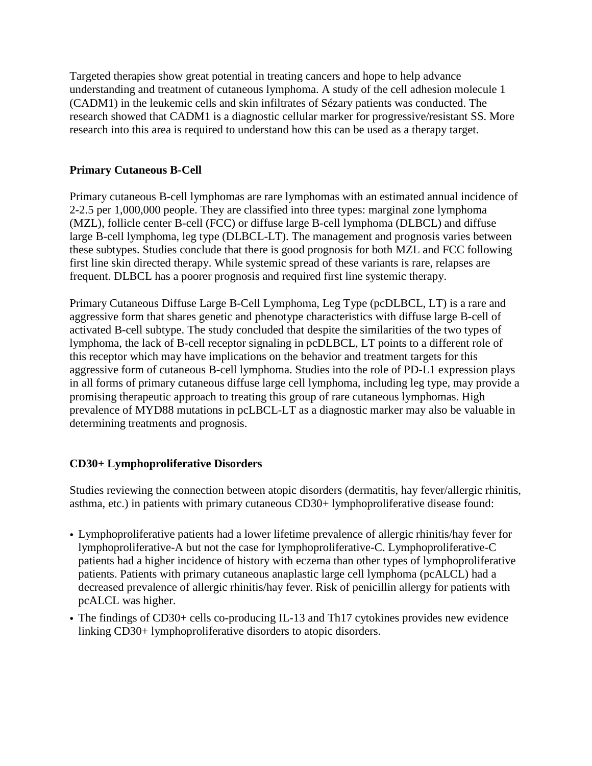Targeted therapies show great potential in treating cancers and hope to help advance understanding and treatment of cutaneous lymphoma. A study of the cell adhesion molecule 1 (CADM1) in the leukemic cells and skin infiltrates of Sézary patients was conducted. The research showed that CADM1 is a diagnostic cellular marker for progressive/resistant SS. More research into this area is required to understand how this can be used as a therapy target.

## **Primary Cutaneous B-Cell**

Primary cutaneous B-cell lymphomas are rare lymphomas with an estimated annual incidence of 2-2.5 per 1,000,000 people. They are classified into three types: marginal zone lymphoma (MZL), follicle center B-cell (FCC) or diffuse large B-cell lymphoma (DLBCL) and diffuse large B-cell lymphoma, leg type (DLBCL-LT). The management and prognosis varies between these subtypes. Studies conclude that there is good prognosis for both MZL and FCC following first line skin directed therapy. While systemic spread of these variants is rare, relapses are frequent. DLBCL has a poorer prognosis and required first line systemic therapy.

Primary Cutaneous Diffuse Large B-Cell Lymphoma, Leg Type (pcDLBCL, LT) is a rare and aggressive form that shares genetic and phenotype characteristics with diffuse large B-cell of activated B-cell subtype. The study concluded that despite the similarities of the two types of lymphoma, the lack of B-cell receptor signaling in pcDLBCL, LT points to a different role of this receptor which may have implications on the behavior and treatment targets for this aggressive form of cutaneous B-cell lymphoma. Studies into the role of PD-L1 expression plays in all forms of primary cutaneous diffuse large cell lymphoma, including leg type, may provide a promising therapeutic approach to treating this group of rare cutaneous lymphomas. High prevalence of MYD88 mutations in pcLBCL-LT as a diagnostic marker may also be valuable in determining treatments and prognosis.

# **CD30+ Lymphoproliferative Disorders**

Studies reviewing the connection between atopic disorders (dermatitis, hay fever/allergic rhinitis, asthma, etc.) in patients with primary cutaneous CD30+ lymphoproliferative disease found:

- Lymphoproliferative patients had a lower lifetime prevalence of allergic rhinitis/hay fever for lymphoproliferative-A but not the case for lymphoproliferative-C. Lymphoproliferative-C patients had a higher incidence of history with eczema than other types of lymphoproliferative patients. Patients with primary cutaneous anaplastic large cell lymphoma (pcALCL) had a decreased prevalence of allergic rhinitis/hay fever. Risk of penicillin allergy for patients with pcALCL was higher.
- The findings of CD30+ cells co-producing IL-13 and Th17 cytokines provides new evidence linking CD30+ lymphoproliferative disorders to atopic disorders.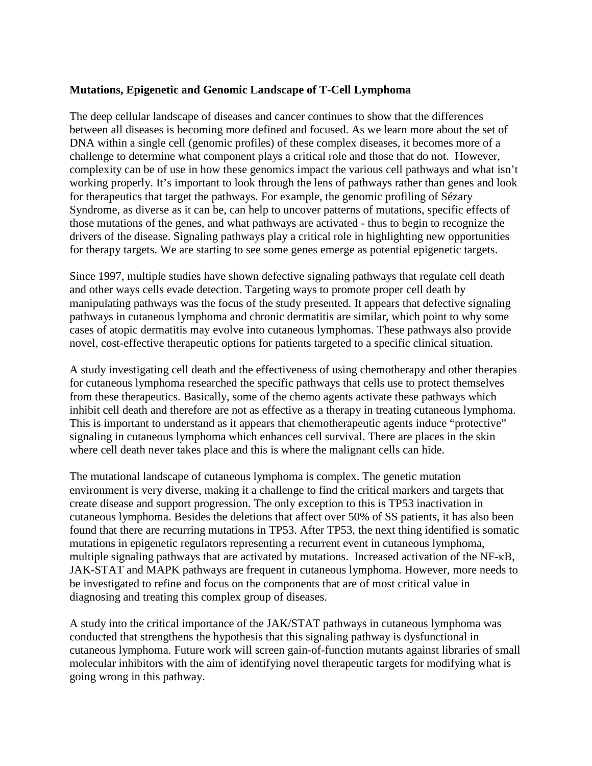#### **Mutations, Epigenetic and Genomic Landscape of T-Cell Lymphoma**

The deep cellular landscape of diseases and cancer continues to show that the differences between all diseases is becoming more defined and focused. As we learn more about the set of DNA within a single cell (genomic profiles) of these complex diseases, it becomes more of a challenge to determine what component plays a critical role and those that do not. However, complexity can be of use in how these genomics impact the various cell pathways and what isn't working properly. It's important to look through the lens of pathways rather than genes and look for therapeutics that target the pathways. For example, the genomic profiling of Sézary Syndrome, as diverse as it can be, can help to uncover patterns of mutations, specific effects of those mutations of the genes, and what pathways are activated - thus to begin to recognize the drivers of the disease. Signaling pathways play a critical role in highlighting new opportunities for therapy targets. We are starting to see some genes emerge as potential epigenetic targets.

Since 1997, multiple studies have shown defective signaling pathways that regulate cell death and other ways cells evade detection. Targeting ways to promote proper cell death by manipulating pathways was the focus of the study presented. It appears that defective signaling pathways in cutaneous lymphoma and chronic dermatitis are similar, which point to why some cases of atopic dermatitis may evolve into cutaneous lymphomas. These pathways also provide novel, cost-effective therapeutic options for patients targeted to a specific clinical situation.

A study investigating cell death and the effectiveness of using chemotherapy and other therapies for cutaneous lymphoma researched the specific pathways that cells use to protect themselves from these therapeutics. Basically, some of the chemo agents activate these pathways which inhibit cell death and therefore are not as effective as a therapy in treating cutaneous lymphoma. This is important to understand as it appears that chemotherapeutic agents induce "protective" signaling in cutaneous lymphoma which enhances cell survival. There are places in the skin where cell death never takes place and this is where the malignant cells can hide.

The mutational landscape of cutaneous lymphoma is complex. The genetic mutation environment is very diverse, making it a challenge to find the critical markers and targets that create disease and support progression. The only exception to this is TP53 inactivation in cutaneous lymphoma. Besides the deletions that affect over 50% of SS patients, it has also been found that there are recurring mutations in TP53. After TP53, the next thing identified is somatic mutations in epigenetic regulators representing a recurrent event in cutaneous lymphoma, multiple signaling pathways that are activated by mutations. Increased activation of the NF-κB, JAK-STAT and MAPK pathways are frequent in cutaneous lymphoma. However, more needs to be investigated to refine and focus on the components that are of most critical value in diagnosing and treating this complex group of diseases.

A study into the critical importance of the JAK/STAT pathways in cutaneous lymphoma was conducted that strengthens the hypothesis that this signaling pathway is dysfunctional in cutaneous lymphoma. Future work will screen gain-of-function mutants against libraries of small molecular inhibitors with the aim of identifying novel therapeutic targets for modifying what is going wrong in this pathway.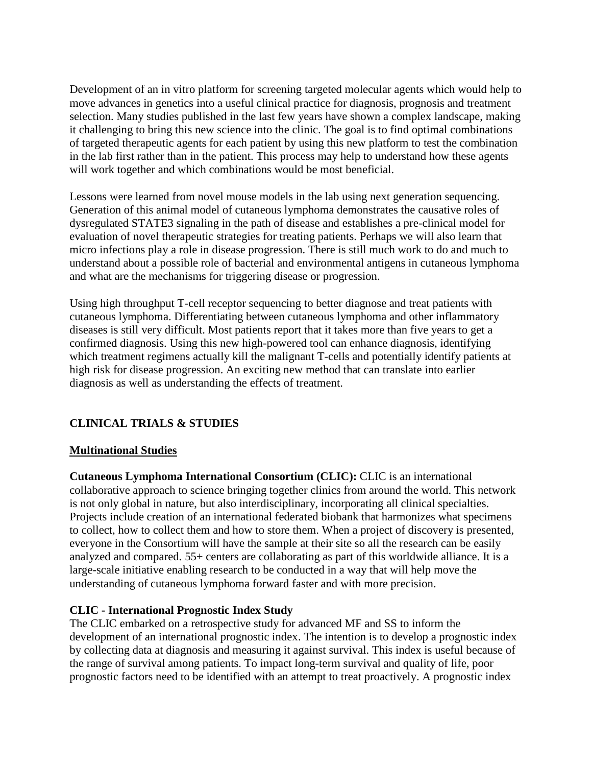Development of an in vitro platform for screening targeted molecular agents which would help to move advances in genetics into a useful clinical practice for diagnosis, prognosis and treatment selection. Many studies published in the last few years have shown a complex landscape, making it challenging to bring this new science into the clinic. The goal is to find optimal combinations of targeted therapeutic agents for each patient by using this new platform to test the combination in the lab first rather than in the patient. This process may help to understand how these agents will work together and which combinations would be most beneficial.

Lessons were learned from novel mouse models in the lab using next generation sequencing. Generation of this animal model of cutaneous lymphoma demonstrates the causative roles of dysregulated STATE3 signaling in the path of disease and establishes a pre-clinical model for evaluation of novel therapeutic strategies for treating patients. Perhaps we will also learn that micro infections play a role in disease progression. There is still much work to do and much to understand about a possible role of bacterial and environmental antigens in cutaneous lymphoma and what are the mechanisms for triggering disease or progression.

Using high throughput T-cell receptor sequencing to better diagnose and treat patients with cutaneous lymphoma. Differentiating between cutaneous lymphoma and other inflammatory diseases is still very difficult. Most patients report that it takes more than five years to get a confirmed diagnosis. Using this new high-powered tool can enhance diagnosis, identifying which treatment regimens actually kill the malignant T-cells and potentially identify patients at high risk for disease progression. An exciting new method that can translate into earlier diagnosis as well as understanding the effects of treatment.

# **CLINICAL TRIALS & STUDIES**

## **Multinational Studies**

**Cutaneous Lymphoma International Consortium (CLIC):** CLIC is an international collaborative approach to science bringing together clinics from around the world. This network is not only global in nature, but also interdisciplinary, incorporating all clinical specialties. Projects include creation of an international federated biobank that harmonizes what specimens to collect, how to collect them and how to store them. When a project of discovery is presented, everyone in the Consortium will have the sample at their site so all the research can be easily analyzed and compared. 55+ centers are collaborating as part of this worldwide alliance. It is a large-scale initiative enabling research to be conducted in a way that will help move the understanding of cutaneous lymphoma forward faster and with more precision.

## **CLIC - International Prognostic Index Study**

The CLIC embarked on a retrospective study for advanced MF and SS to inform the development of an international prognostic index. The intention is to develop a prognostic index by collecting data at diagnosis and measuring it against survival. This index is useful because of the range of survival among patients. To impact long-term survival and quality of life, poor prognostic factors need to be identified with an attempt to treat proactively. A prognostic index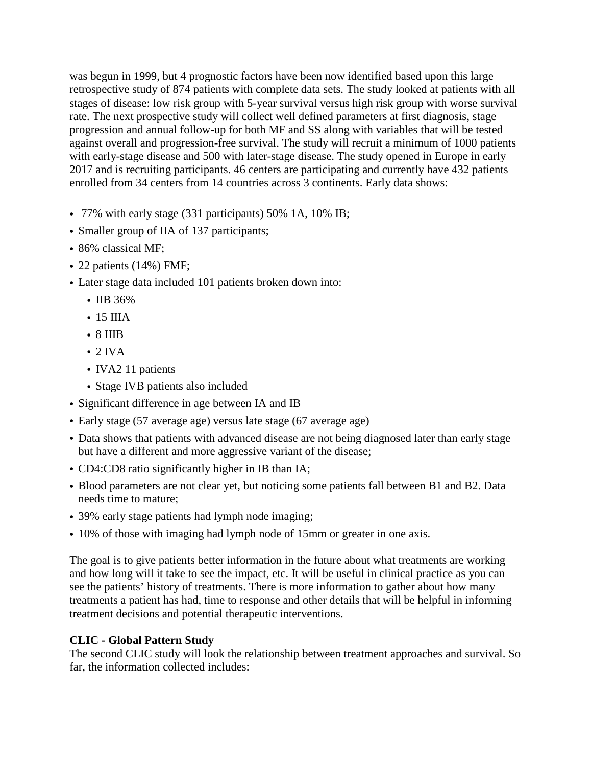was begun in 1999, but 4 prognostic factors have been now identified based upon this large retrospective study of 874 patients with complete data sets. The study looked at patients with all stages of disease: low risk group with 5-year survival versus high risk group with worse survival rate. The next prospective study will collect well defined parameters at first diagnosis, stage progression and annual follow-up for both MF and SS along with variables that will be tested against overall and progression-free survival. The study will recruit a minimum of 1000 patients with early-stage disease and 500 with later-stage disease. The study opened in Europe in early 2017 and is recruiting participants. 46 centers are participating and currently have 432 patients enrolled from 34 centers from 14 countries across 3 continents. Early data shows:

- 77% with early stage (331 participants) 50% 1A, 10% IB;
- Smaller group of IIA of 137 participants;
- 86% classical MF:
- 22 patients (14%) FMF;
- Later stage data included 101 patients broken down into:
	- IIB 36%
	- 15 IIIA
	- 8 IIIB
	- $\cdot$  2 IVA
	- IVA2 11 patients
	- Stage IVB patients also included
- Significant difference in age between IA and IB
- Early stage (57 average age) versus late stage (67 average age)
- Data shows that patients with advanced disease are not being diagnosed later than early stage but have a different and more aggressive variant of the disease;
- CD4:CD8 ratio significantly higher in IB than IA;
- Blood parameters are not clear yet, but noticing some patients fall between B1 and B2. Data needs time to mature;
- 39% early stage patients had lymph node imaging;
- 10% of those with imaging had lymph node of 15mm or greater in one axis.

The goal is to give patients better information in the future about what treatments are working and how long will it take to see the impact, etc. It will be useful in clinical practice as you can see the patients' history of treatments. There is more information to gather about how many treatments a patient has had, time to response and other details that will be helpful in informing treatment decisions and potential therapeutic interventions.

## **CLIC - Global Pattern Study**

The second CLIC study will look the relationship between treatment approaches and survival. So far, the information collected includes: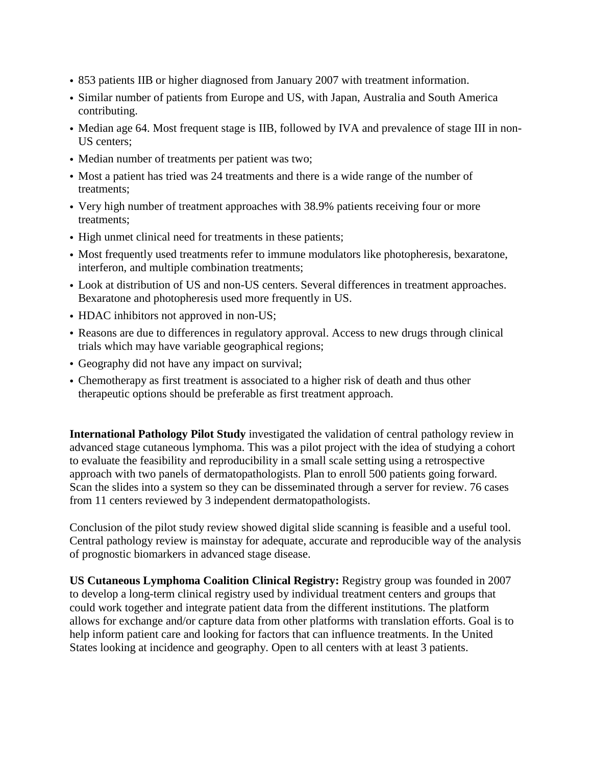- 853 patients IIB or higher diagnosed from January 2007 with treatment information.
- Similar number of patients from Europe and US, with Japan, Australia and South America contributing.
- Median age 64. Most frequent stage is IIB, followed by IVA and prevalence of stage III in non-US centers;
- Median number of treatments per patient was two;
- Most a patient has tried was 24 treatments and there is a wide range of the number of treatments;
- Very high number of treatment approaches with 38.9% patients receiving four or more treatments;
- High unmet clinical need for treatments in these patients;
- Most frequently used treatments refer to immune modulators like photopheresis, bexaratone, interferon, and multiple combination treatments;
- Look at distribution of US and non-US centers. Several differences in treatment approaches. Bexaratone and photopheresis used more frequently in US.
- HDAC inhibitors not approved in non-US;
- Reasons are due to differences in regulatory approval. Access to new drugs through clinical trials which may have variable geographical regions;
- Geography did not have any impact on survival;
- Chemotherapy as first treatment is associated to a higher risk of death and thus other therapeutic options should be preferable as first treatment approach.

**International Pathology Pilot Study** investigated the validation of central pathology review in advanced stage cutaneous lymphoma. This was a pilot project with the idea of studying a cohort to evaluate the feasibility and reproducibility in a small scale setting using a retrospective approach with two panels of dermatopathologists. Plan to enroll 500 patients going forward. Scan the slides into a system so they can be disseminated through a server for review. 76 cases from 11 centers reviewed by 3 independent dermatopathologists.

Conclusion of the pilot study review showed digital slide scanning is feasible and a useful tool. Central pathology review is mainstay for adequate, accurate and reproducible way of the analysis of prognostic biomarkers in advanced stage disease.

**US Cutaneous Lymphoma Coalition Clinical Registry:** Registry group was founded in 2007 to develop a long-term clinical registry used by individual treatment centers and groups that could work together and integrate patient data from the different institutions. The platform allows for exchange and/or capture data from other platforms with translation efforts. Goal is to help inform patient care and looking for factors that can influence treatments. In the United States looking at incidence and geography. Open to all centers with at least 3 patients.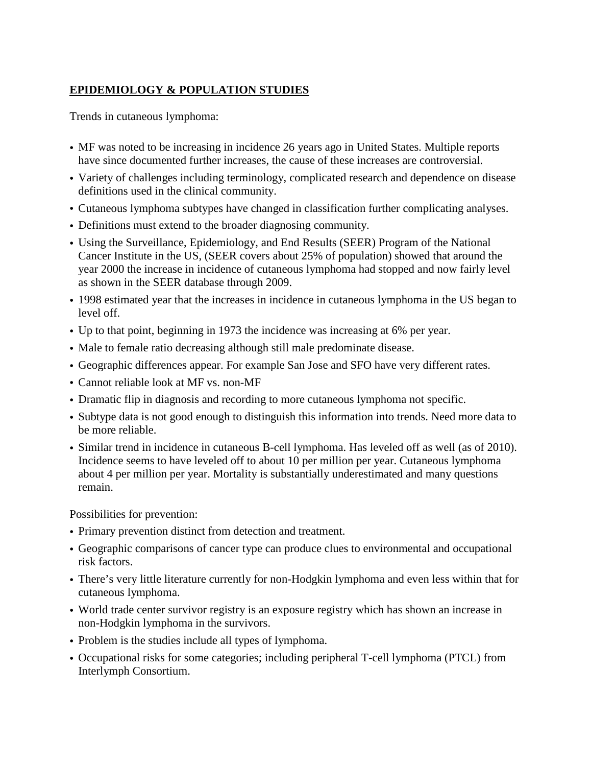# **EPIDEMIOLOGY & POPULATION STUDIES**

Trends in cutaneous lymphoma:

- MF was noted to be increasing in incidence 26 years ago in United States. Multiple reports have since documented further increases, the cause of these increases are controversial.
- Variety of challenges including terminology, complicated research and dependence on disease definitions used in the clinical community.
- Cutaneous lymphoma subtypes have changed in classification further complicating analyses.
- Definitions must extend to the broader diagnosing community.
- Using the Surveillance, Epidemiology, and End Results (SEER) Program of the National Cancer Institute in the US, (SEER covers about 25% of population) showed that around the year 2000 the increase in incidence of cutaneous lymphoma had stopped and now fairly level as shown in the SEER database through 2009.
- 1998 estimated year that the increases in incidence in cutaneous lymphoma in the US began to level off.
- Up to that point, beginning in 1973 the incidence was increasing at 6% per year.
- Male to female ratio decreasing although still male predominate disease.
- Geographic differences appear. For example San Jose and SFO have very different rates.
- Cannot reliable look at MF vs. non-MF
- Dramatic flip in diagnosis and recording to more cutaneous lymphoma not specific.
- Subtype data is not good enough to distinguish this information into trends. Need more data to be more reliable.
- Similar trend in incidence in cutaneous B-cell lymphoma. Has leveled off as well (as of 2010). Incidence seems to have leveled off to about 10 per million per year. Cutaneous lymphoma about 4 per million per year. Mortality is substantially underestimated and many questions remain.

Possibilities for prevention:

- Primary prevention distinct from detection and treatment.
- Geographic comparisons of cancer type can produce clues to environmental and occupational risk factors.
- There's very little literature currently for non-Hodgkin lymphoma and even less within that for cutaneous lymphoma.
- World trade center survivor registry is an exposure registry which has shown an increase in non-Hodgkin lymphoma in the survivors.
- Problem is the studies include all types of lymphoma.
- Occupational risks for some categories; including peripheral T-cell lymphoma (PTCL) from Interlymph Consortium.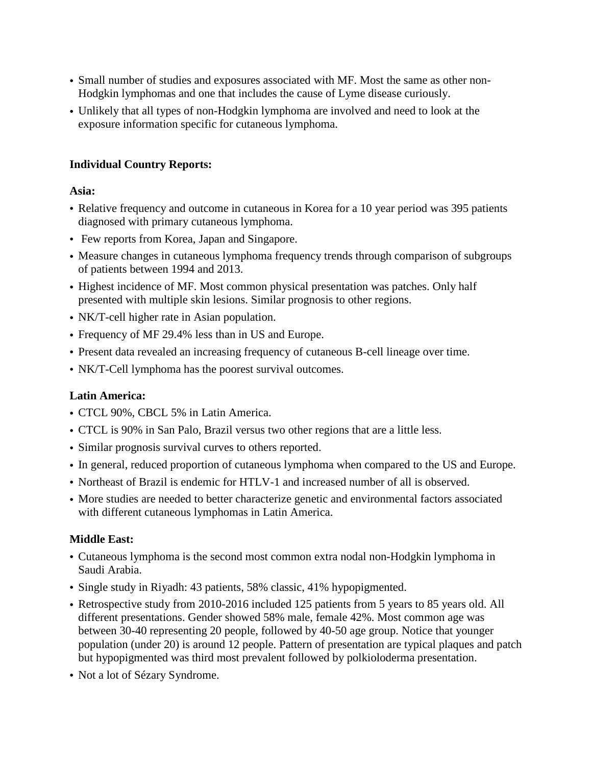- Small number of studies and exposures associated with MF. Most the same as other non-Hodgkin lymphomas and one that includes the cause of Lyme disease curiously.
- Unlikely that all types of non-Hodgkin lymphoma are involved and need to look at the exposure information specific for cutaneous lymphoma.

## **Individual Country Reports:**

### **Asia:**

- Relative frequency and outcome in cutaneous in Korea for a 10 year period was 395 patients diagnosed with primary cutaneous lymphoma.
- Few reports from Korea, Japan and Singapore.
- Measure changes in cutaneous lymphoma frequency trends through comparison of subgroups of patients between 1994 and 2013.
- Highest incidence of MF. Most common physical presentation was patches. Only half presented with multiple skin lesions. Similar prognosis to other regions.
- NK/T-cell higher rate in Asian population.
- Frequency of MF 29.4% less than in US and Europe.
- Present data revealed an increasing frequency of cutaneous B-cell lineage over time.
- NK/T-Cell lymphoma has the poorest survival outcomes.

## **Latin America:**

- CTCL 90%, CBCL 5% in Latin America.
- CTCL is 90% in San Palo, Brazil versus two other regions that are a little less.
- Similar prognosis survival curves to others reported.
- In general, reduced proportion of cutaneous lymphoma when compared to the US and Europe.
- Northeast of Brazil is endemic for HTLV-1 and increased number of all is observed.
- More studies are needed to better characterize genetic and environmental factors associated with different cutaneous lymphomas in Latin America.

## **Middle East:**

- Cutaneous lymphoma is the second most common extra nodal non-Hodgkin lymphoma in Saudi Arabia.
- Single study in Riyadh: 43 patients, 58% classic, 41% hypopigmented.
- Retrospective study from 2010-2016 included 125 patients from 5 years to 85 years old. All different presentations. Gender showed 58% male, female 42%. Most common age was between 30-40 representing 20 people, followed by 40-50 age group. Notice that younger population (under 20) is around 12 people. Pattern of presentation are typical plaques and patch but hypopigmented was third most prevalent followed by polkioloderma presentation.
- Not a lot of Sézary Syndrome.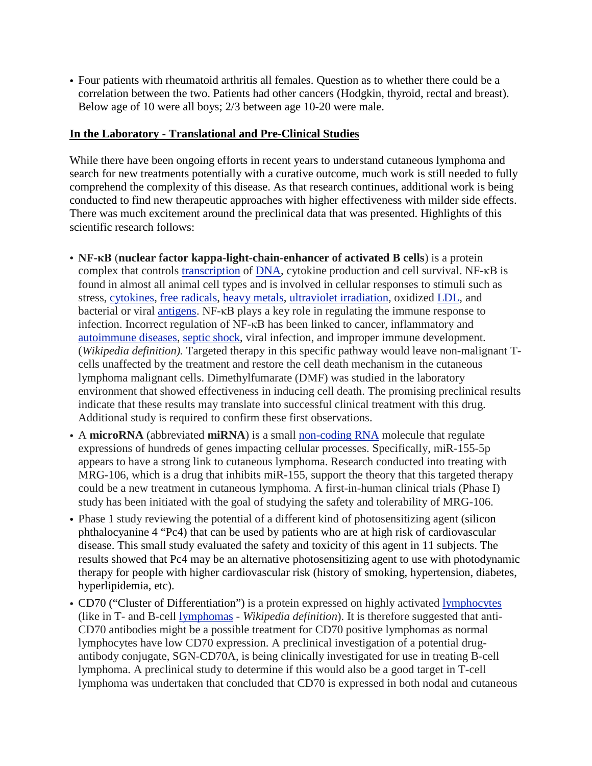• Four patients with rheumatoid arthritis all females. Question as to whether there could be a correlation between the two. Patients had other cancers (Hodgkin, thyroid, rectal and breast). Below age of 10 were all boys; 2/3 between age 10-20 were male.

#### **In the Laboratory - Translational and Pre-Clinical Studies**

While there have been ongoing efforts in recent years to understand cutaneous lymphoma and search for new treatments potentially with a curative outcome, much work is still needed to fully comprehend the complexity of this disease. As that research continues, additional work is being conducted to find new therapeutic approaches with higher effectiveness with milder side effects. There was much excitement around the preclinical data that was presented. Highlights of this scientific research follows:

- **NF-κB** (**nuclear factor kappa-light-chain-enhancer of activated B cells**) is a protein complex that controls [transcription](https://en.wikipedia.org/wiki/Transcription_(genetics)) of [DNA,](https://en.wikipedia.org/wiki/DNA) cytokine production and cell survival. NF-κB is found in almost all animal cell types and is involved in cellular responses to stimuli such as stress, [cytokines,](https://en.wikipedia.org/wiki/Cytokine) free [radicals,](https://en.wikipedia.org/wiki/Free_radical) heavy [metals,](https://en.wikipedia.org/wiki/Heavy_metals) ultraviolet [irradiation,](https://en.wikipedia.org/wiki/Ultraviolet_irradiation) oxidized [LDL,](https://en.wikipedia.org/wiki/LDL) and bacterial or viral [antigens.](https://en.wikipedia.org/wiki/Antigen) NF-κB plays a key role in regulating the immune response to infection. Incorrect regulation of NF-κB has been linked to cancer, inflammatory and [autoimmune](https://en.wikipedia.org/wiki/Autoimmune_diseases) diseases, septic [shock,](https://en.wikipedia.org/wiki/Septic_shock) viral infection, and improper immune development. (*Wikipedia definition).* Targeted therapy in this specific pathway would leave non-malignant Tcells unaffected by the treatment and restore the cell death mechanism in the cutaneous lymphoma malignant cells. Dimethylfumarate (DMF) was studied in the laboratory environment that showed effectiveness in inducing cell death. The promising preclinical results indicate that these results may translate into successful clinical treatment with this drug. Additional study is required to confirm these first observations.
- A microRNA (abbreviated miRNA) is a small [non-coding](https://en.wikipedia.org/wiki/Non-coding_RNA) RNA molecule that regulate expressions of hundreds of genes impacting cellular processes. Specifically, miR-155-5p appears to have a strong link to cutaneous lymphoma. Research conducted into treating with MRG-106, which is a drug that inhibits miR-155, support the theory that this targeted therapy could be a new treatment in cutaneous lymphoma. A first-in-human clinical trials (Phase I) study has been initiated with the goal of studying the safety and tolerability of MRG-106.
- Phase 1 study reviewing the potential of a different kind of photosensitizing agent (silicon phthalocyanine 4 "Pc4) that can be used by patients who are at high risk of cardiovascular disease. This small study evaluated the safety and toxicity of this agent in 11 subjects. The results showed that Pc4 may be an alternative photosensitizing agent to use with photodynamic therapy for people with higher cardiovascular risk (history of smoking, hypertension, diabetes, hyperlipidemia, etc).
- CD70 ("Cluster of Differentiation") is a protein expressed on highly activated [lymphocytes](https://en.wikipedia.org/wiki/Lymphocytes) (like in T- and B-cell [lymphomas](https://en.wikipedia.org/wiki/Lymphomas) - *Wikipedia definition*). It is therefore suggested that anti-CD70 antibodies might be a possible treatment for CD70 positive lymphomas as normal lymphocytes have low CD70 expression. A preclinical investigation of a potential drugantibody conjugate, SGN-CD70A, is being clinically investigated for use in treating B-cell lymphoma. A preclinical study to determine if this would also be a good target in T-cell lymphoma was undertaken that concluded that CD70 is expressed in both nodal and cutaneous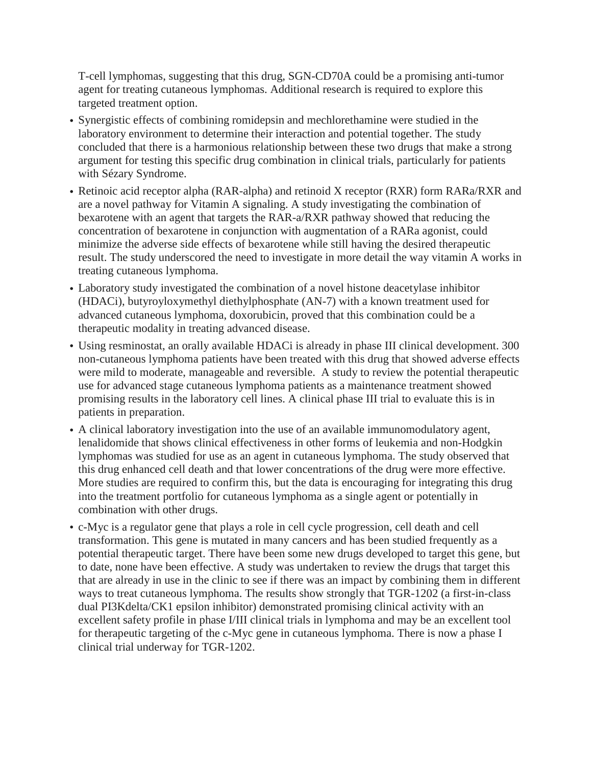T-cell lymphomas, suggesting that this drug, SGN-CD70A could be a promising anti-tumor agent for treating cutaneous lymphomas. Additional research is required to explore this targeted treatment option.

- Synergistic effects of combining romidepsin and mechlorethamine were studied in the laboratory environment to determine their interaction and potential together. The study concluded that there is a harmonious relationship between these two drugs that make a strong argument for testing this specific drug combination in clinical trials, particularly for patients with Sézary Syndrome.
- Retinoic acid receptor alpha (RAR-alpha) and retinoid X receptor (RXR) form RARa/RXR and are a novel pathway for Vitamin A signaling. A study investigating the combination of bexarotene with an agent that targets the RAR-a/RXR pathway showed that reducing the concentration of bexarotene in conjunction with augmentation of a RARa agonist, could minimize the adverse side effects of bexarotene while still having the desired therapeutic result. The study underscored the need to investigate in more detail the way vitamin A works in treating cutaneous lymphoma.
- Laboratory study investigated the combination of a novel histone deacetylase inhibitor (HDACi), butyroyloxymethyl diethylphosphate (AN-7) with a known treatment used for advanced cutaneous lymphoma, doxorubicin, proved that this combination could be a therapeutic modality in treating advanced disease.
- Using resminostat, an orally available HDACi is already in phase III clinical development. 300 non-cutaneous lymphoma patients have been treated with this drug that showed adverse effects were mild to moderate, manageable and reversible. A study to review the potential therapeutic use for advanced stage cutaneous lymphoma patients as a maintenance treatment showed promising results in the laboratory cell lines. A clinical phase III trial to evaluate this is in patients in preparation.
- A clinical laboratory investigation into the use of an available immunomodulatory agent, lenalidomide that shows clinical effectiveness in other forms of leukemia and non-Hodgkin lymphomas was studied for use as an agent in cutaneous lymphoma. The study observed that this drug enhanced cell death and that lower concentrations of the drug were more effective. More studies are required to confirm this, but the data is encouraging for integrating this drug into the treatment portfolio for cutaneous lymphoma as a single agent or potentially in combination with other drugs.
- c-Myc is a regulator gene that plays a role in cell cycle progression, cell death and cell transformation. This gene is mutated in many cancers and has been studied frequently as a potential therapeutic target. There have been some new drugs developed to target this gene, but to date, none have been effective. A study was undertaken to review the drugs that target this that are already in use in the clinic to see if there was an impact by combining them in different ways to treat cutaneous lymphoma. The results show strongly that TGR-1202 (a first-in-class dual PI3Kdelta/CK1 epsilon inhibitor) demonstrated promising clinical activity with an excellent safety profile in phase I/III clinical trials in lymphoma and may be an excellent tool for therapeutic targeting of the c-Myc gene in cutaneous lymphoma. There is now a phase I clinical trial underway for TGR-1202.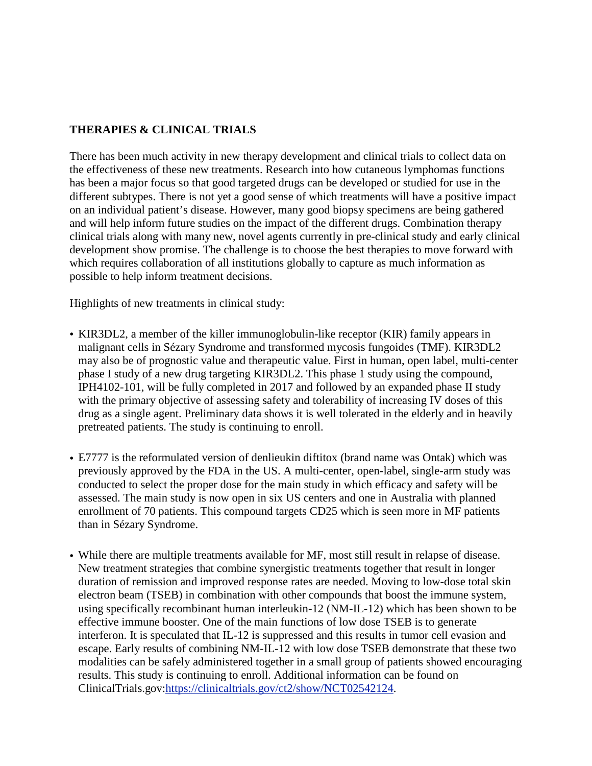## **THERAPIES & CLINICAL TRIALS**

There has been much activity in new therapy development and clinical trials to collect data on the effectiveness of these new treatments. Research into how cutaneous lymphomas functions has been a major focus so that good targeted drugs can be developed or studied for use in the different subtypes. There is not yet a good sense of which treatments will have a positive impact on an individual patient's disease. However, many good biopsy specimens are being gathered and will help inform future studies on the impact of the different drugs. Combination therapy clinical trials along with many new, novel agents currently in pre-clinical study and early clinical development show promise. The challenge is to choose the best therapies to move forward with which requires collaboration of all institutions globally to capture as much information as possible to help inform treatment decisions.

Highlights of new treatments in clinical study:

- KIR3DL2, a member of the killer immunoglobulin-like receptor (KIR) family appears in malignant cells in Sézary Syndrome and transformed mycosis fungoides (TMF). KIR3DL2 may also be of prognostic value and therapeutic value. First in human, open label, multi-center phase I study of a new drug targeting KIR3DL2. This phase 1 study using the compound, IPH4102-101, will be fully completed in 2017 and followed by an expanded phase II study with the primary objective of assessing safety and tolerability of increasing IV doses of this drug as a single agent. Preliminary data shows it is well tolerated in the elderly and in heavily pretreated patients. The study is continuing to enroll.
- E7777 is the reformulated version of denlieukin diftitox (brand name was Ontak) which was previously approved by the FDA in the US. A multi-center, open-label, single-arm study was conducted to select the proper dose for the main study in which efficacy and safety will be assessed. The main study is now open in six US centers and one in Australia with planned enrollment of 70 patients. This compound targets CD25 which is seen more in MF patients than in Sézary Syndrome.
- While there are multiple treatments available for MF, most still result in relapse of disease. New treatment strategies that combine synergistic treatments together that result in longer duration of remission and improved response rates are needed. Moving to low-dose total skin electron beam (TSEB) in combination with other compounds that boost the immune system, using specifically recombinant human interleukin-12 (NM-IL-12) which has been shown to be effective immune booster. One of the main functions of low dose TSEB is to generate interferon. It is speculated that IL-12 is suppressed and this results in tumor cell evasion and escape. Early results of combining NM-IL-12 with low dose TSEB demonstrate that these two modalities can be safely administered together in a small group of patients showed encouraging results. This study is continuing to enroll. Additional information can be found on ClinicalTrials.gov[:https://clinicaltrials.gov/ct2/show/NCT02542124.](https://clinicaltrials.gov/ct2/show/NCT0254&)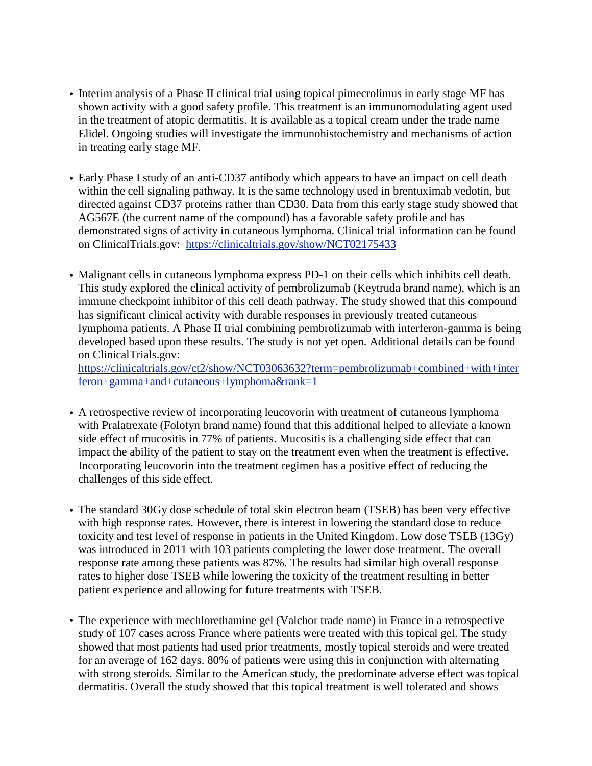- Interim analysis of a Phase II clinical trial using topical pimecrolimus in early stage MF has shown activity with a good safety profile. This treatment is an immunomodulating agent used in the treatment of atopic dermatitis. It is available as a topical cream under the trade name Elidel. Ongoing studies will investigate the immunohistochemistry and mechanisms of action in treating early stage MF.
- Early Phase I study of an anti-CD37 antibody which appears to have an impact on cell death within the cell signaling pathway. It is the same technology used in brentuximab vedotin, but directed against CD37 proteins rather than CD30. Data from this early stage study showed that AG567E (the current name of the compound) has a favorable safety profile and has demonstrated signs of activity in cutaneous lymphoma. Clinical trial information can be found on ClinicalTrials.gov: <https://clinicaltrials.gov/show/NCT02175433>
- Malignant cells in cutaneous lymphoma express PD-1 on their cells which inhibits cell death. This study explored the clinical activity of pembrolizumab (Keytruda brand name), which is an immune checkpoint inhibitor of this cell death pathway. The study showed that this compound has significant clinical activity with durable responses in previously treated cutaneous lymphoma patients. A Phase II trial combining pembrolizumab with interferon-gamma is being developed based upon these results. The study is not yet open. Additional details can be found on ClinicalTrials.gov:

[https://clinicaltrials.gov/ct2/show/NCT03063632?term=pembrolizumab+combined+with+inter](https://clinicaltrials.gov/ct2/show/NCT03063632?term=pembrolizumab+combined+with+interferon+gamma+and+cutaneous+lymphoma&rank=1) [feron+gamma+and+cutaneous+lymphoma&rank=1](https://clinicaltrials.gov/ct2/show/NCT03063632?term=pembrolizumab+combined+with+interferon+gamma+and+cutaneous+lymphoma&rank=1)

- A retrospective review of incorporating leucovorin with treatment of cutaneous lymphoma with Pralatrexate (Folotyn brand name) found that this additional helped to alleviate a known side effect of mucositis in 77% of patients. Mucositis is a challenging side effect that can impact the ability of the patient to stay on the treatment even when the treatment is effective. Incorporating leucovorin into the treatment regimen has a positive effect of reducing the challenges of this side effect.
- The standard 30Gy dose schedule of total skin electron beam (TSEB) has been very effective with high response rates. However, there is interest in lowering the standard dose to reduce toxicity and test level of response in patients in the United Kingdom. Low dose TSEB (13Gy) was introduced in 2011 with 103 patients completing the lower dose treatment. The overall response rate among these patients was 87%. The results had similar high overall response rates to higher dose TSEB while lowering the toxicity of the treatment resulting in better patient experience and allowing for future treatments with TSEB.
- The experience with mechlorethamine gel (Valchor trade name) in France in a retrospective study of 107 cases across France where patients were treated with this topical gel. The study showed that most patients had used prior treatments, mostly topical steroids and were treated for an average of 162 days. 80% of patients were using this in conjunction with alternating with strong steroids. Similar to the American study, the predominate adverse effect was topical dermatitis. Overall the study showed that this topical treatment is well tolerated and shows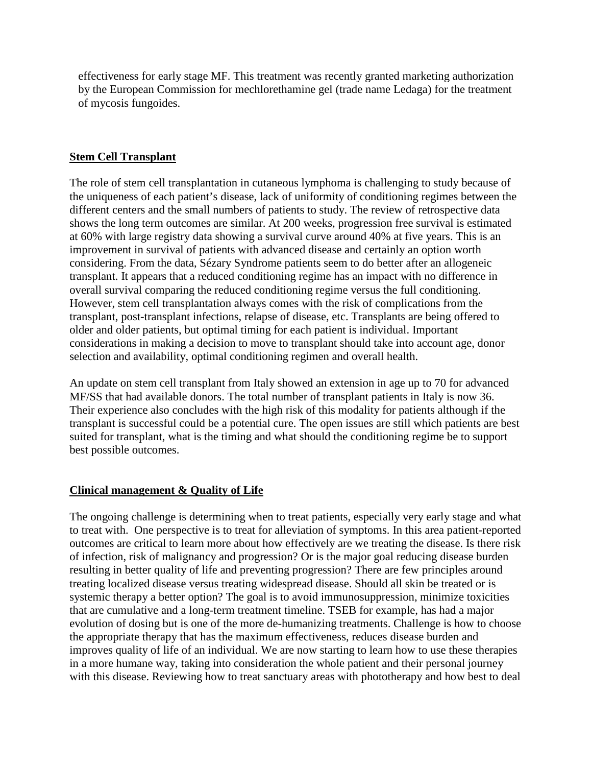effectiveness for early stage MF. This treatment was recently granted marketing authorization by the European Commission for mechlorethamine gel (trade name Ledaga) for the treatment of mycosis fungoides.

## **Stem Cell Transplant**

The role of stem cell transplantation in cutaneous lymphoma is challenging to study because of the uniqueness of each patient's disease, lack of uniformity of conditioning regimes between the different centers and the small numbers of patients to study. The review of retrospective data shows the long term outcomes are similar. At 200 weeks, progression free survival is estimated at 60% with large registry data showing a survival curve around 40% at five years. This is an improvement in survival of patients with advanced disease and certainly an option worth considering. From the data, Sézary Syndrome patients seem to do better after an allogeneic transplant. It appears that a reduced conditioning regime has an impact with no difference in overall survival comparing the reduced conditioning regime versus the full conditioning. However, stem cell transplantation always comes with the risk of complications from the transplant, post-transplant infections, relapse of disease, etc. Transplants are being offered to older and older patients, but optimal timing for each patient is individual. Important considerations in making a decision to move to transplant should take into account age, donor selection and availability, optimal conditioning regimen and overall health.

An update on stem cell transplant from Italy showed an extension in age up to 70 for advanced MF/SS that had available donors. The total number of transplant patients in Italy is now 36. Their experience also concludes with the high risk of this modality for patients although if the transplant is successful could be a potential cure. The open issues are still which patients are best suited for transplant, what is the timing and what should the conditioning regime be to support best possible outcomes.

## **Clinical management & Quality of Life**

The ongoing challenge is determining when to treat patients, especially very early stage and what to treat with. One perspective is to treat for alleviation of symptoms. In this area patient-reported outcomes are critical to learn more about how effectively are we treating the disease. Is there risk of infection, risk of malignancy and progression? Or is the major goal reducing disease burden resulting in better quality of life and preventing progression? There are few principles around treating localized disease versus treating widespread disease. Should all skin be treated or is systemic therapy a better option? The goal is to avoid immunosuppression, minimize toxicities that are cumulative and a long-term treatment timeline. TSEB for example, has had a major evolution of dosing but is one of the more de-humanizing treatments. Challenge is how to choose the appropriate therapy that has the maximum effectiveness, reduces disease burden and improves quality of life of an individual. We are now starting to learn how to use these therapies in a more humane way, taking into consideration the whole patient and their personal journey with this disease. Reviewing how to treat sanctuary areas with phototherapy and how best to deal